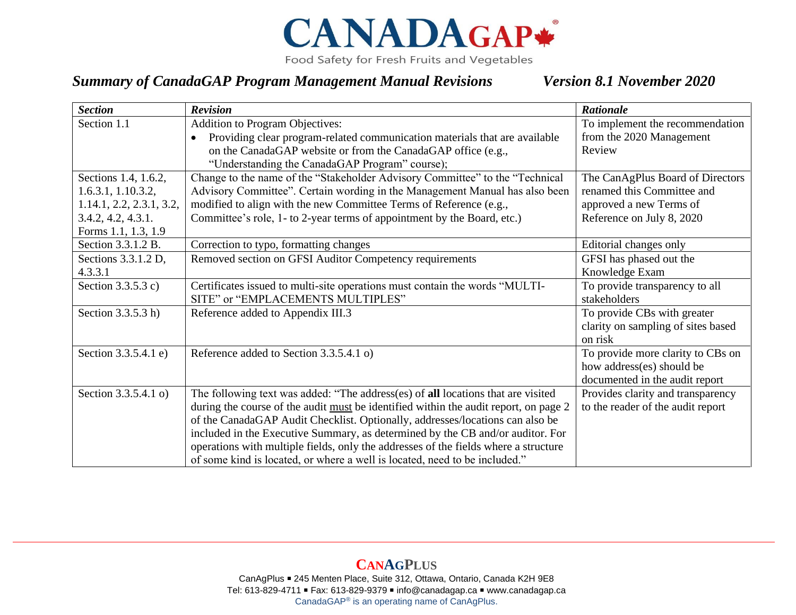

Food Safety for Fresh Fruits and Vegetables

## *Summary of CanadaGAP Program Management Manual Revisions Version 8.1 November 2020*

| <b>Section</b>           | <b>Revision</b>                                                                         | <b>Rationale</b>                   |
|--------------------------|-----------------------------------------------------------------------------------------|------------------------------------|
| Section 1.1              | <b>Addition to Program Objectives:</b>                                                  | To implement the recommendation    |
|                          | Providing clear program-related communication materials that are available<br>$\bullet$ | from the 2020 Management           |
|                          | on the CanadaGAP website or from the CanadaGAP office (e.g.,                            | Review                             |
|                          | "Understanding the CanadaGAP Program" course);                                          |                                    |
| Sections 1.4, 1.6.2,     | Change to the name of the "Stakeholder Advisory Committee" to the "Technical            | The CanAgPlus Board of Directors   |
| 1.6.3.1, 1.10.3.2,       | Advisory Committee". Certain wording in the Management Manual has also been             | renamed this Committee and         |
| 1.14.1, 2.2, 2.3.1, 3.2, | modified to align with the new Committee Terms of Reference (e.g.,                      | approved a new Terms of            |
| 3.4.2, 4.2, 4.3.1.       | Committee's role, 1- to 2-year terms of appointment by the Board, etc.)                 | Reference on July 8, 2020          |
| Forms 1.1, 1.3, 1.9      |                                                                                         |                                    |
| Section 3.3.1.2 B.       | Correction to typo, formatting changes                                                  | Editorial changes only             |
| Sections 3.3.1.2 D,      | Removed section on GFSI Auditor Competency requirements                                 | GFSI has phased out the            |
| 4.3.3.1                  |                                                                                         | Knowledge Exam                     |
| Section 3.3.5.3 c)       | Certificates issued to multi-site operations must contain the words "MULTI-             | To provide transparency to all     |
|                          | SITE" or "EMPLACEMENTS MULTIPLES"                                                       | stakeholders                       |
| Section 3.3.5.3 h)       | Reference added to Appendix III.3                                                       | To provide CBs with greater        |
|                          |                                                                                         | clarity on sampling of sites based |
|                          |                                                                                         | on risk                            |
| Section 3.3.5.4.1 e)     | Reference added to Section 3.3.5.4.1 o)                                                 | To provide more clarity to CBs on  |
|                          |                                                                                         | how address(es) should be          |
|                          |                                                                                         | documented in the audit report     |
| Section 3.3.5.4.1 o)     | The following text was added: "The address(es) of all locations that are visited        | Provides clarity and transparency  |
|                          | during the course of the audit must be identified within the audit report, on page 2    | to the reader of the audit report  |
|                          | of the CanadaGAP Audit Checklist. Optionally, addresses/locations can also be           |                                    |
|                          | included in the Executive Summary, as determined by the CB and/or auditor. For          |                                    |
|                          | operations with multiple fields, only the addresses of the fields where a structure     |                                    |
|                          | of some kind is located, or where a well is located, need to be included."              |                                    |

**CANAGPLUS** CanAgPlus ■ 245 Menten Place, Suite 312, Ottawa, Ontario, Canada K2H 9E8 Tel: 613-829-4711 ■ Fax: 613-829-9379 ■ info@canadagap.ca ■ [www.canadagap.ca](http://www.canadagap.ca/) CanadaGAP® is an operating name of CanAgPlus.